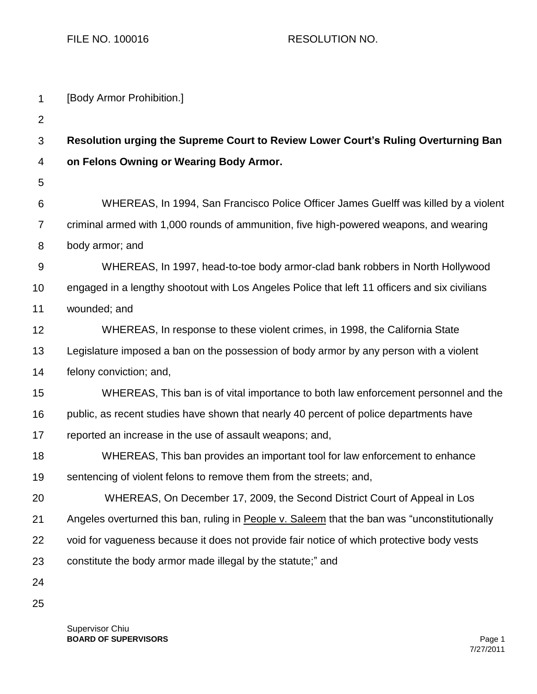FILE NO. 100016 RESOLUTION NO.

| $\mathbf 1$    | [Body Armor Prohibition.]                                                                     |
|----------------|-----------------------------------------------------------------------------------------------|
| $\overline{2}$ |                                                                                               |
| 3              | Resolution urging the Supreme Court to Review Lower Court's Ruling Overturning Ban            |
| 4              | on Felons Owning or Wearing Body Armor.                                                       |
| 5              |                                                                                               |
| 6              | WHEREAS, In 1994, San Francisco Police Officer James Guelff was killed by a violent           |
| 7              | criminal armed with 1,000 rounds of ammunition, five high-powered weapons, and wearing        |
| 8              | body armor; and                                                                               |
| 9              | WHEREAS, In 1997, head-to-toe body armor-clad bank robbers in North Hollywood                 |
| 10             | engaged in a lengthy shootout with Los Angeles Police that left 11 officers and six civilians |
| 11             | wounded; and                                                                                  |
| 12             | WHEREAS, In response to these violent crimes, in 1998, the California State                   |
| 13             | Legislature imposed a ban on the possession of body armor by any person with a violent        |
| 14             | felony conviction; and,                                                                       |
| 15             | WHEREAS, This ban is of vital importance to both law enforcement personnel and the            |
| 16             | public, as recent studies have shown that nearly 40 percent of police departments have        |
| 17             | reported an increase in the use of assault weapons; and,                                      |
| 18             | WHEREAS, This ban provides an important tool for law enforcement to enhance                   |
| 19             | sentencing of violent felons to remove them from the streets; and,                            |
| 20             | WHEREAS, On December 17, 2009, the Second District Court of Appeal in Los                     |
| 21             | Angeles overturned this ban, ruling in People v. Saleem that the ban was "unconstitutionally  |
| 22             | void for vagueness because it does not provide fair notice of which protective body vests     |
| 23             | constitute the body armor made illegal by the statute;" and                                   |
| 24             |                                                                                               |
| 25             |                                                                                               |